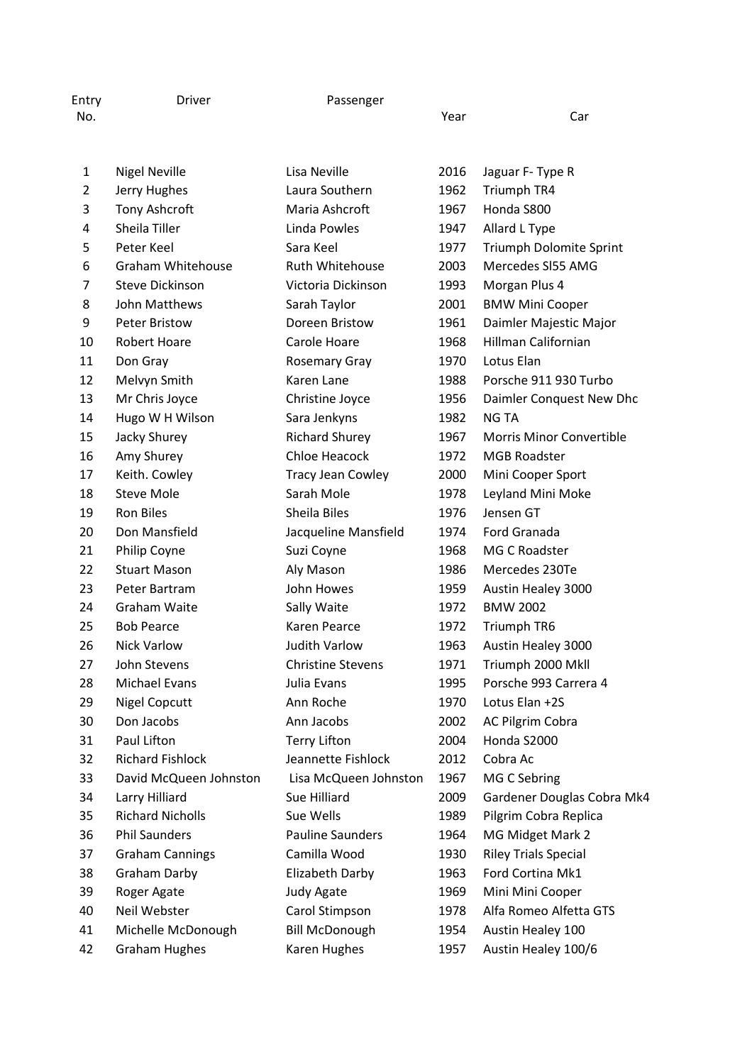| Entry<br>No. | Driver               | Passenger    | Year | Car              |
|--------------|----------------------|--------------|------|------------------|
|              | <b>Nigel Neville</b> | Lisa Neville | 2016 | Jaguar F- Type R |

| 2  | Jerry Hughes             | Laura Southern           | 1962 | <b>Triumph TR4</b>              |
|----|--------------------------|--------------------------|------|---------------------------------|
| 3  | Tony Ashcroft            | Maria Ashcroft           | 1967 | Honda S800                      |
| 4  | Sheila Tiller            | Linda Powles             | 1947 | Allard L Type                   |
| 5  | Peter Keel               | Sara Keel                | 1977 | Triumph Dolomite Sprint         |
| 6  | <b>Graham Whitehouse</b> | Ruth Whitehouse          | 2003 | Mercedes SI55 AMG               |
| 7  | <b>Steve Dickinson</b>   | Victoria Dickinson       | 1993 | Morgan Plus 4                   |
| 8  | John Matthews            | Sarah Taylor             | 2001 | <b>BMW Mini Cooper</b>          |
| 9  | <b>Peter Bristow</b>     | Doreen Bristow           | 1961 | Daimler Majestic Major          |
| 10 | <b>Robert Hoare</b>      | Carole Hoare             | 1968 | <b>Hillman Californian</b>      |
| 11 | Don Gray                 | <b>Rosemary Gray</b>     | 1970 | Lotus Elan                      |
| 12 | Melvyn Smith             | Karen Lane               | 1988 | Porsche 911 930 Turbo           |
| 13 | Mr Chris Joyce           | Christine Joyce          | 1956 | Daimler Conquest New Dhc        |
| 14 | Hugo W H Wilson          | Sara Jenkyns             | 1982 | <b>NG TA</b>                    |
| 15 | Jacky Shurey             | <b>Richard Shurey</b>    | 1967 | <b>Morris Minor Convertible</b> |
| 16 | Amy Shurey               | Chloe Heacock            | 1972 | <b>MGB Roadster</b>             |
| 17 | Keith. Cowley            | <b>Tracy Jean Cowley</b> | 2000 | Mini Cooper Sport               |
| 18 | <b>Steve Mole</b>        | Sarah Mole               | 1978 | Leyland Mini Moke               |
| 19 | Ron Biles                | Sheila Biles             | 1976 | Jensen GT                       |
| 20 | Don Mansfield            | Jacqueline Mansfield     | 1974 | Ford Granada                    |
| 21 | Philip Coyne             | Suzi Coyne               | 1968 | MG C Roadster                   |
| 22 | <b>Stuart Mason</b>      | Aly Mason                | 1986 | Mercedes 230Te                  |
| 23 | Peter Bartram            | John Howes               | 1959 | Austin Healey 3000              |
| 24 | Graham Waite             | Sally Waite              | 1972 | <b>BMW 2002</b>                 |
| 25 | <b>Bob Pearce</b>        | Karen Pearce             | 1972 | <b>Triumph TR6</b>              |
| 26 | <b>Nick Varlow</b>       | <b>Judith Varlow</b>     | 1963 | Austin Healey 3000              |
| 27 | John Stevens             | <b>Christine Stevens</b> | 1971 | Triumph 2000 Mkll               |
| 28 | <b>Michael Evans</b>     | Julia Evans              | 1995 | Porsche 993 Carrera 4           |
| 29 | <b>Nigel Copcutt</b>     | Ann Roche                | 1970 | Lotus Elan +2S                  |
| 30 | Don Jacobs               | Ann Jacobs               | 2002 | AC Pilgrim Cobra                |
| 31 | Paul Lifton              | <b>Terry Lifton</b>      | 2004 | Honda S2000                     |
| 32 | <b>Richard Fishlock</b>  | Jeannette Fishlock       | 2012 | Cobra Ac                        |
| 33 | David McQueen Johnston   | Lisa McQueen Johnston    | 1967 | MG C Sebring                    |
| 34 | Larry Hilliard           | Sue Hilliard             | 2009 | Gardener Douglas Cobra Mk4      |
| 35 | <b>Richard Nicholls</b>  | Sue Wells                | 1989 | Pilgrim Cobra Replica           |
| 36 | <b>Phil Saunders</b>     | <b>Pauline Saunders</b>  | 1964 | MG Midget Mark 2                |
| 37 | <b>Graham Cannings</b>   | Camilla Wood             | 1930 | <b>Riley Trials Special</b>     |
| 38 | Graham Darby             | Elizabeth Darby          | 1963 | Ford Cortina Mk1                |
| 39 | Roger Agate              | Judy Agate               | 1969 | Mini Mini Cooper                |
| 40 | Neil Webster             | Carol Stimpson           | 1978 | Alfa Romeo Alfetta GTS          |
| 41 | Michelle McDonough       | <b>Bill McDonough</b>    | 1954 | Austin Healey 100               |
| 42 | <b>Graham Hughes</b>     | Karen Hughes             | 1957 | Austin Healey 100/6             |